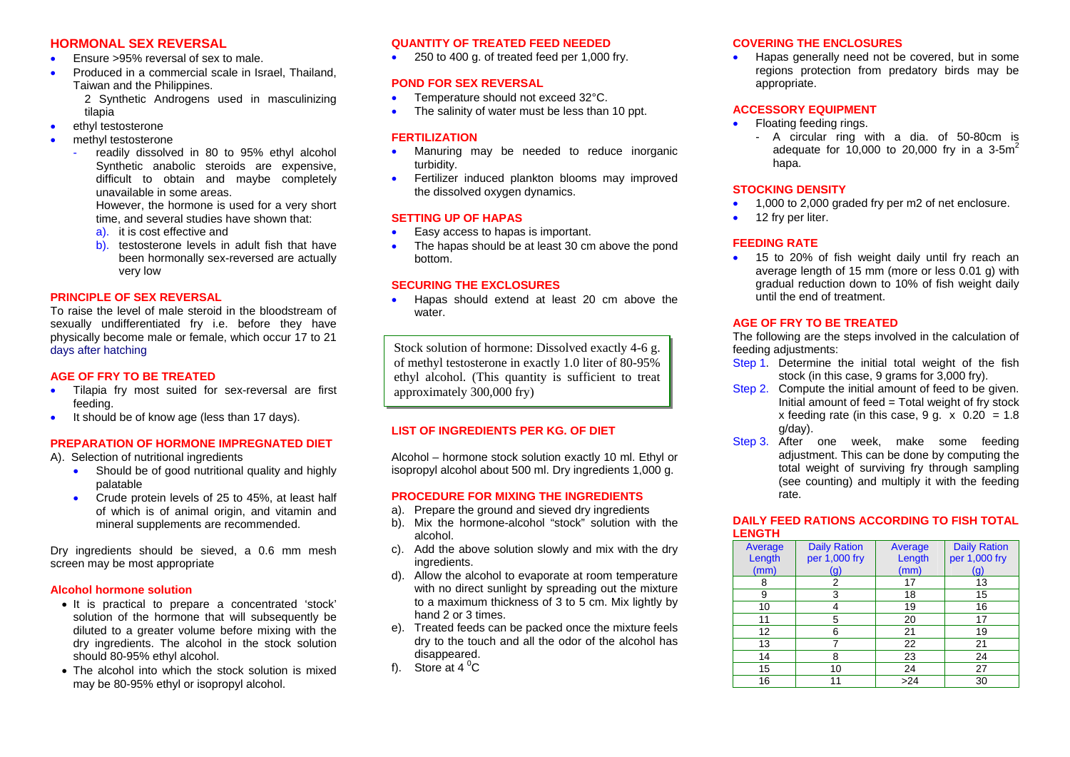## **HORMONAL SEX REVERSAL**

- •Ensure >95% reversal of sex to male.
- •Produced in a commercial scale in Israel, Thailand, Taiwan and the Philippines.

2 Synthetic Androgens used in masculinizing tilapia

- •ethyl testosterone
- •methyl testosterone
	- readily dissolved in 80 to 95% ethyl alcohol Synthetic anabolic steroids are expensive, difficult to obtain and maybe completely unavailable in some areas.

However, the hormone is used for a very short time, and several studies have shown that:

- a). it is cost effective and
- b). testosterone levels in adult fish that have been hormonally sex-reversed are actually very low

### **PRINCIPLE OF SEX REVERSAL**

To raise the level of male steroid in the bloodstream of sexually undifferentiated fry i.e. before they have physically become male or female, which occur 17 to 21 days after hatching

### **AGE OF FRY TO BE TREATED**

- •Tilapia fry most suited for sex-reversal are first feeding.
- $\bullet$ It should be of know age (less than 17 days).

# **PREPARATION OF HORMONE IMPREGNATED DIET**

A). Selection of nutritional ingredients

- •Should be of good nutritional quality and highly palatable
- Crude protein levels of 25 to 45%, at least half of which is of animal origin, and vitamin and mineral supplements are recommended.

Dry ingredients should be sieved, a 0.6 mm mesh screen may be most appropriate

### **Alcohol hormone solution**

- It is practical to prepare a concentrated 'stock' solution of the hormone that will subsequently be diluted to a greater volume before mixing with the dry ingredients. The alcohol in the stock solution should 80-95% ethyl alcohol.
- The alcohol into which the stock solution is mixed may be 80-95% ethyl or isopropyl alcohol.

### **QUANTITY OF TREATED FEED NEEDED**

• 250 to 400 g. of treated feed per 1,000 fry.

#### **POND FOR SEX REVERSAL**

- •Temperature should not exceed 32°C.
- •The salinity of water must be less than 10 ppt.

### **FERTILIZATION**

- •Manuring may be needed to reduce inorganic turbidity.
- •Fertilizer induced plankton blooms may improved the dissolved oxygen dynamics.

### **SETTING UP OF HAPAS**

- •Easy access to hapas is important.
- •The hapas should be at least 30 cm above the pond bottom.

### **SECURING THE EXCLOSURES**

•Hapas should extend at least 20 cm above the water.

Stock solution of hormone: Dissolved exactly 4-6 g.  $\parallel$  feeding adjustments: of methyl testosterone in exactly 1.0 liter of 80-95% ethyl alcohol. (This quantity is sufficient to treat approximately 300,000 fry)

## **LIST OF INGREDIENTS PER KG. OF DIET**

Alcohol – hormone stock solution exactly 10 ml. Ethyl or isopropyl alcohol about 500 ml. Dry ingredients 1,000 g.

#### **PROCEDURE FOR MIXING THE INGREDIENTS**

- a). Prepare the ground and sieved dry ingredients
- b). Mix the hormone-alcohol "stock" solution with the alcohol.
- c). Add the above solution slowly and mix with the dry ingredients.
- d). Allow the alcohol to evaporate at room temperature with no direct sunlight by spreading out the mixture to a maximum thickness of 3 to 5 cm. Mix lightly by hand 2 or 3 times.
- e). Treated feeds can be packed once the mixture feels dry to the touch and all the odor of the alcohol has disappeared.
- f). Store at  $4^{\circ}$ C

### **COVERING THE ENCLOSURES**

•Hapas generally need not be covered, but in some regions protection from predatory birds may be appropriate.

### **ACCESSORY EQUIPMENT**

- •Floating feeding rings.
	- A circular ring with a dia. of 50-80cm is adequate for 10,000 to 20,000 fry in a  $3-5m^2$ hapa.

#### **STOCKING DENSITY**

- •1,000 to 2,000 graded fry per m2 of net enclosure.
- •12 fry per liter.

### **FEEDING RATE**

• 15 to 20% of fish weight daily until fry reach an average length of 15 mm (more or less 0.01 g) with gradual reduction down to 10% of fish weight daily until the end of treatment.

# **AGE OF FRY TO BE TREATED**

The following are the steps involved in the calculation of

- Step 1. Determine the initial total weight of the fish stock (in this case, 9 grams for 3,000 fry).
- Step 2. Compute the initial amount of feed to be given. Initial amount of feed  $=$  Total weight of fry stock x feeding rate (in this case,  $9 \text{ q}$ . x  $0.20 = 1.8$ g/day).
- Step 3. After one week, make some feeding adjustment. This can be done by computing the total weight of surviving fry through sampling (see counting) and multiply it with the feeding rate.

### **DAILY FEED RATIONS ACCORDING TO FISH TOTAL LENGTH**

| Average | <b>Daily Ration</b> | Average | <b>Daily Ration</b> |
|---------|---------------------|---------|---------------------|
| Length  | per 1,000 fry       | Length  | per 1,000 fry       |
| (mm)    | (g)                 | (mm)    | (g)                 |
| 8       | 2                   | 17      | 13                  |
| 9       | 3                   | 18      | 15                  |
| 10      |                     | 19      | 16                  |
| 11      | 5                   | 20      | 17                  |
| 12      | 6                   | 21      | 19                  |
| 13      |                     | 22      | 21                  |
| 14      | 8                   | 23      | 24                  |
| 15      | 10                  | 24      | 27                  |
| 16      | 11                  | >24     | 30                  |